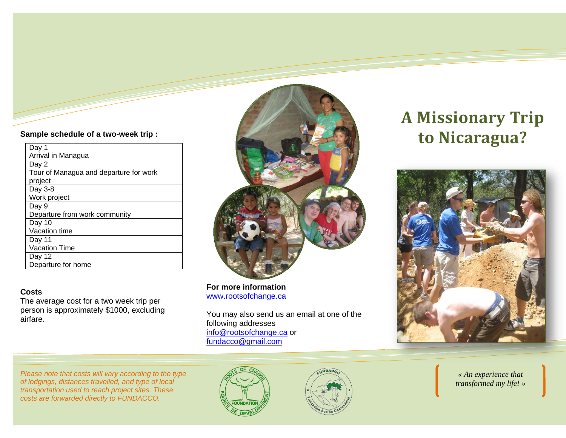### **Sample schedule of a two-week trip :**

| Day 1                                  |
|----------------------------------------|
| Arrival in Managua                     |
| Day 2                                  |
| Tour of Managua and departure for work |
| project                                |
| Day 3-8                                |
| Work project                           |
| Day 9                                  |
| Departure from work community          |
| Day 10                                 |
| Vacation time                          |
| Day 11                                 |
| Vacation Time                          |
| Day 12                                 |
| Departure for home                     |

### **Costs**

The average cost for a two week trip per person is approximately \$1000, excluding airfare.



**For more information**www.rootsofchange.ca

You may also send us an email at one of the following addresses info@rootsofchange.ca or fundacco@gmail.com

# **A Missionary Trip to Nicaragua?**



*Please note that costs will vary according to the type of lodgings, distances travelled, and type of local transportation used to reach project sites. These costs are forwarded directly to FUNDACCO.* 





*« An experience that transformed my life! »*